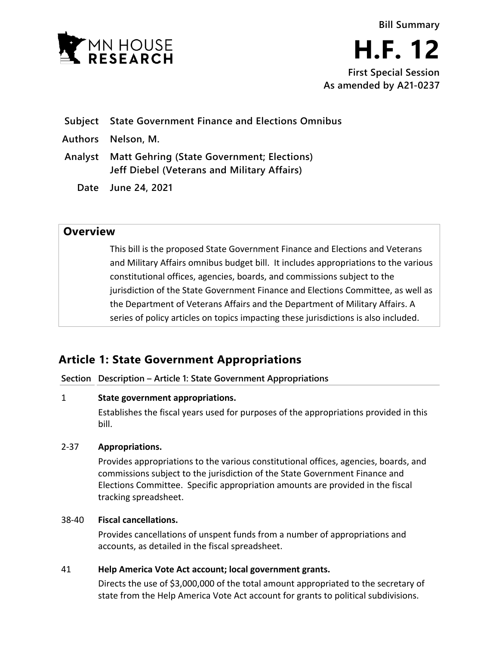

**H.F. 12 First Special Session**

**As amended by A21-0237**

**Subject State Government Finance and Elections Omnibus**

- **Authors Nelson, M.**
- **Analyst Matt Gehring (State Government; Elections) Jeff Diebel (Veterans and Military Affairs)**
	- **Date June 24, 2021**

# **Overview**

This bill is the proposed State Government Finance and Elections and Veterans and Military Affairs omnibus budget bill. It includes appropriations to the various constitutional offices, agencies, boards, and commissions subject to the jurisdiction of the State Government Finance and Elections Committee, as well as the Department of Veterans Affairs and the Department of Military Affairs. A series of policy articles on topics impacting these jurisdictions is also included.

# **Article 1: State Government Appropriations**

**Section Description – Article 1: State Government Appropriations**

# 1 **State government appropriations.**

Establishes the fiscal years used for purposes of the appropriations provided in this bill.

# 2-37 **Appropriations.**

Provides appropriations to the various constitutional offices, agencies, boards, and commissions subject to the jurisdiction of the State Government Finance and Elections Committee. Specific appropriation amounts are provided in the fiscal tracking spreadsheet.

# 38-40 **Fiscal cancellations.**

Provides cancellations of unspent funds from a number of appropriations and accounts, as detailed in the fiscal spreadsheet.

# 41 **Help America Vote Act account; local government grants.**

Directs the use of \$3,000,000 of the total amount appropriated to the secretary of state from the Help America Vote Act account for grants to political subdivisions.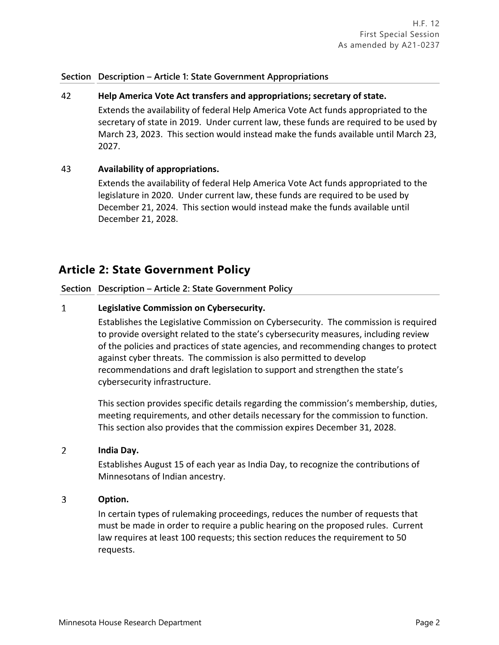# **Section Description – Article 1: State Government Appropriations**

# 42 **Help America Vote Act transfers and appropriations; secretary of state.**

Extends the availability of federal Help America Vote Act funds appropriated to the secretary of state in 2019. Under current law, these funds are required to be used by March 23, 2023. This section would instead make the funds available until March 23, 2027.

# 43 **Availability of appropriations.**

Extends the availability of federal Help America Vote Act funds appropriated to the legislature in 2020. Under current law, these funds are required to be used by December 21, 2024. This section would instead make the funds available until December 21, 2028.

# **Article 2: State Government Policy**

# **Section Description – Article 2: State Government Policy**

#### $\mathbf{1}$ **Legislative Commission on Cybersecurity.**

Establishes the Legislative Commission on Cybersecurity. The commission is required to provide oversight related to the state's cybersecurity measures, including review of the policies and practices of state agencies, and recommending changes to protect against cyber threats. The commission is also permitted to develop recommendations and draft legislation to support and strengthen the state's cybersecurity infrastructure.

This section provides specific details regarding the commission's membership, duties, meeting requirements, and other details necessary for the commission to function. This section also provides that the commission expires December 31, 2028.

#### $\overline{2}$ **India Day.**

Establishes August 15 of each year as India Day, to recognize the contributions of Minnesotans of Indian ancestry.

#### 3 **Option.**

In certain types of rulemaking proceedings, reduces the number of requests that must be made in order to require a public hearing on the proposed rules. Current law requires at least 100 requests; this section reduces the requirement to 50 requests.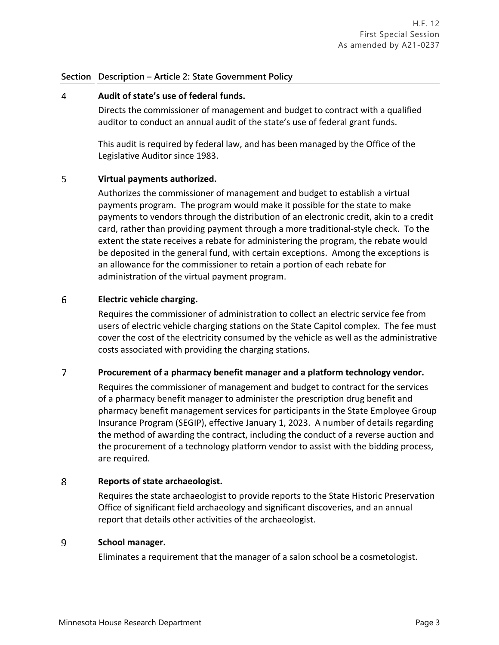### **Section Description – Article 2: State Government Policy**

#### 4 **Audit of state's use of federal funds.**

Directs the commissioner of management and budget to contract with a qualified auditor to conduct an annual audit of the state's use of federal grant funds.

This audit is required by federal law, and has been managed by the Office of the Legislative Auditor since 1983.

#### 5 **Virtual payments authorized.**

Authorizes the commissioner of management and budget to establish a virtual payments program. The program would make it possible for the state to make payments to vendors through the distribution of an electronic credit, akin to a credit card, rather than providing payment through a more traditional-style check. To the extent the state receives a rebate for administering the program, the rebate would be deposited in the general fund, with certain exceptions. Among the exceptions is an allowance for the commissioner to retain a portion of each rebate for administration of the virtual payment program.

#### 6 **Electric vehicle charging.**

Requires the commissioner of administration to collect an electric service fee from users of electric vehicle charging stations on the State Capitol complex. The fee must cover the cost of the electricity consumed by the vehicle as well as the administrative costs associated with providing the charging stations.

#### $\overline{7}$ **Procurement of a pharmacy benefit manager and a platform technology vendor.**

Requires the commissioner of management and budget to contract for the services of a pharmacy benefit manager to administer the prescription drug benefit and pharmacy benefit management services for participants in the State Employee Group Insurance Program (SEGIP), effective January 1, 2023. A number of details regarding the method of awarding the contract, including the conduct of a reverse auction and the procurement of a technology platform vendor to assist with the bidding process, are required.

#### 8 **Reports of state archaeologist.**

Requires the state archaeologist to provide reports to the State Historic Preservation Office of significant field archaeology and significant discoveries, and an annual report that details other activities of the archaeologist.

#### 9 **School manager.**

Eliminates a requirement that the manager of a salon school be a cosmetologist.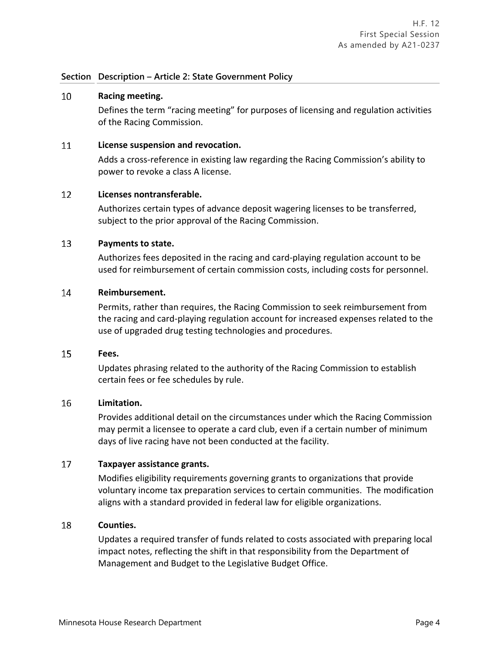### **Section Description – Article 2: State Government Policy**

#### $10<sup>°</sup>$ **Racing meeting.**

Defines the term "racing meeting" for purposes of licensing and regulation activities of the Racing Commission.

#### 11 **License suspension and revocation.**

Adds a cross-reference in existing law regarding the Racing Commission's ability to power to revoke a class A license.

#### $12<sup>°</sup>$ **Licenses nontransferable.**

Authorizes certain types of advance deposit wagering licenses to be transferred, subject to the prior approval of the Racing Commission.

#### 13 **Payments to state.**

Authorizes fees deposited in the racing and card-playing regulation account to be used for reimbursement of certain commission costs, including costs for personnel.

#### $14$ **Reimbursement.**

Permits, rather than requires, the Racing Commission to seek reimbursement from the racing and card-playing regulation account for increased expenses related to the use of upgraded drug testing technologies and procedures.

#### 15 **Fees.**

Updates phrasing related to the authority of the Racing Commission to establish certain fees or fee schedules by rule.

#### 16 **Limitation.**

Provides additional detail on the circumstances under which the Racing Commission may permit a licensee to operate a card club, even if a certain number of minimum days of live racing have not been conducted at the facility.

#### $17<sup>2</sup>$ **Taxpayer assistance grants.**

Modifies eligibility requirements governing grants to organizations that provide voluntary income tax preparation services to certain communities. The modification aligns with a standard provided in federal law for eligible organizations.

#### 18 **Counties.**

Updates a required transfer of funds related to costs associated with preparing local impact notes, reflecting the shift in that responsibility from the Department of Management and Budget to the Legislative Budget Office.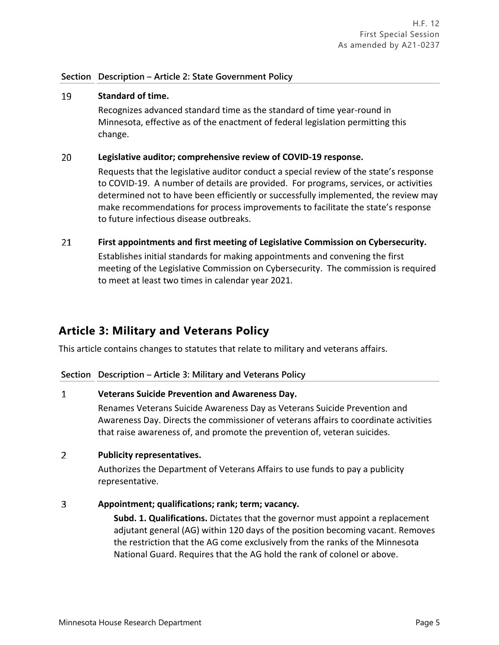# **Section Description – Article 2: State Government Policy**

#### 19 **Standard of time.**

Recognizes advanced standard time as the standard of time year-round in Minnesota, effective as of the enactment of federal legislation permitting this change.

#### 20 **Legislative auditor; comprehensive review of COVID-19 response.**

Requests that the legislative auditor conduct a special review of the state's response to COVID-19. A number of details are provided. For programs, services, or activities determined not to have been efficiently or successfully implemented, the review may make recommendations for process improvements to facilitate the state's response to future infectious disease outbreaks.

21 **First appointments and first meeting of Legislative Commission on Cybersecurity.**

> Establishes initial standards for making appointments and convening the first meeting of the Legislative Commission on Cybersecurity. The commission is required to meet at least two times in calendar year 2021.

# **Article 3: Military and Veterans Policy**

This article contains changes to statutes that relate to military and veterans affairs.

### **Section Description – Article 3: Military and Veterans Policy**

#### $\mathbf{1}$ **Veterans Suicide Prevention and Awareness Day.**

Renames Veterans Suicide Awareness Day as Veterans Suicide Prevention and Awareness Day. Directs the commissioner of veterans affairs to coordinate activities that raise awareness of, and promote the prevention of, veteran suicides.

#### $2<sup>1</sup>$ **Publicity representatives.**

Authorizes the Department of Veterans Affairs to use funds to pay a publicity representative.

#### $\overline{3}$ **Appointment; qualifications; rank; term; vacancy.**

**Subd. 1. Qualifications.** Dictates that the governor must appoint a replacement adjutant general (AG) within 120 days of the position becoming vacant. Removes the restriction that the AG come exclusively from the ranks of the Minnesota National Guard. Requires that the AG hold the rank of colonel or above.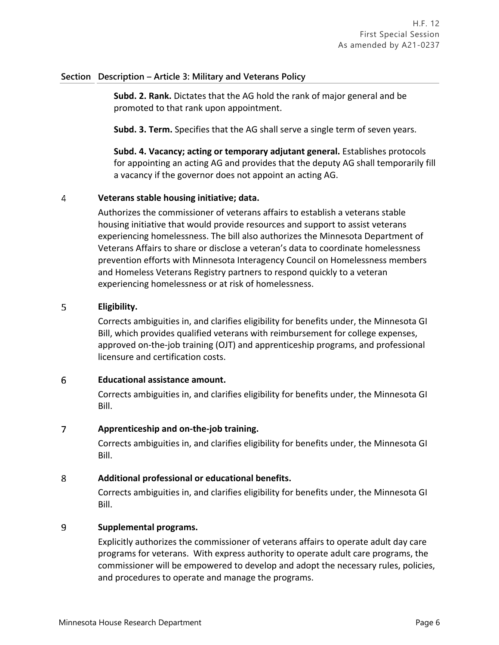# **Section Description – Article 3: Military and Veterans Policy**

**Subd. 2. Rank.** Dictates that the AG hold the rank of major general and be promoted to that rank upon appointment.

**Subd. 3. Term.** Specifies that the AG shall serve a single term of seven years.

**Subd. 4. Vacancy; acting or temporary adjutant general.** Establishes protocols for appointing an acting AG and provides that the deputy AG shall temporarily fill a vacancy if the governor does not appoint an acting AG.

#### 4 **Veterans stable housing initiative; data.**

Authorizes the commissioner of veterans affairs to establish a veterans stable housing initiative that would provide resources and support to assist veterans experiencing homelessness. The bill also authorizes the Minnesota Department of Veterans Affairs to share or disclose a veteran's data to coordinate homelessness prevention efforts with Minnesota Interagency Council on Homelessness members and Homeless Veterans Registry partners to respond quickly to a veteran experiencing homelessness or at risk of homelessness.

#### 5 **Eligibility.**

Corrects ambiguities in, and clarifies eligibility for benefits under, the Minnesota GI Bill, which provides qualified veterans with reimbursement for college expenses, approved on-the-job training (OJT) and apprenticeship programs, and professional licensure and certification costs.

#### 6 **Educational assistance amount.**

Corrects ambiguities in, and clarifies eligibility for benefits under, the Minnesota GI Bill.

#### $\overline{7}$ **Apprenticeship and on-the-job training.**

Corrects ambiguities in, and clarifies eligibility for benefits under, the Minnesota GI Bill.

#### 8 **Additional professional or educational benefits.**

Corrects ambiguities in, and clarifies eligibility for benefits under, the Minnesota GI Bill.

#### 9 **Supplemental programs.**

Explicitly authorizes the commissioner of veterans affairs to operate adult day care programs for veterans. With express authority to operate adult care programs, the commissioner will be empowered to develop and adopt the necessary rules, policies, and procedures to operate and manage the programs.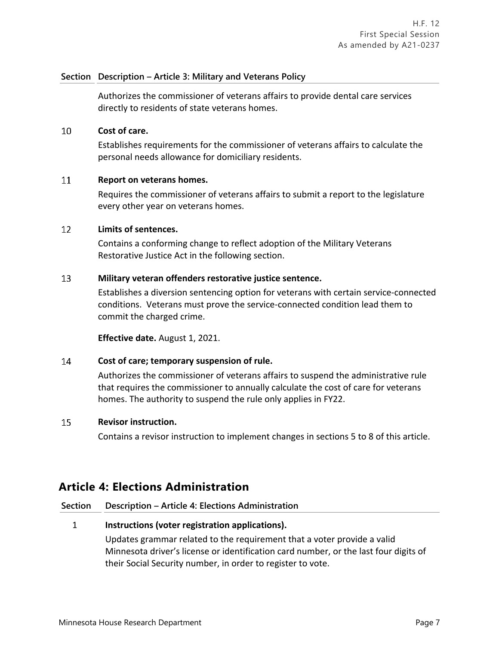# **Section Description – Article 3: Military and Veterans Policy**

Authorizes the commissioner of veterans affairs to provide dental care services directly to residents of state veterans homes.

#### 10 **Cost of care.**

Establishes requirements for the commissioner of veterans affairs to calculate the personal needs allowance for domiciliary residents.

#### $11$ **Report on veterans homes.**

Requires the commissioner of veterans affairs to submit a report to the legislature every other year on veterans homes.

#### $12<sup>°</sup>$ **Limits of sentences.**

Contains a conforming change to reflect adoption of the Military Veterans Restorative Justice Act in the following section.

#### 13 **Military veteran offenders restorative justice sentence.**

Establishes a diversion sentencing option for veterans with certain service-connected conditions. Veterans must prove the service-connected condition lead them to commit the charged crime.

**Effective date.** August 1, 2021.

#### $14$ **Cost of care; temporary suspension of rule.**

Authorizes the commissioner of veterans affairs to suspend the administrative rule that requires the commissioner to annually calculate the cost of care for veterans homes. The authority to suspend the rule only applies in FY22.

#### 15 **Revisor instruction.**

Contains a revisor instruction to implement changes in sections 5 to 8 of this article.

# **Article 4: Elections Administration**

### **Section Description – Article 4: Elections Administration**

### 1 **Instructions (voter registration applications).**

Updates grammar related to the requirement that a voter provide a valid Minnesota driver's license or identification card number, or the last four digits of their Social Security number, in order to register to vote.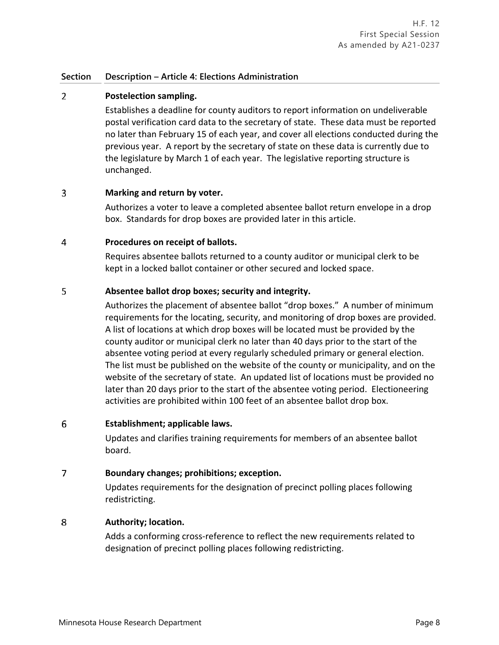# **Section Description – Article 4: Elections Administration**

#### $\overline{2}$ **Postelection sampling.**

Establishes a deadline for county auditors to report information on undeliverable postal verification card data to the secretary of state. These data must be reported no later than February 15 of each year, and cover all elections conducted during the previous year. A report by the secretary of state on these data is currently due to the legislature by March 1 of each year. The legislative reporting structure is unchanged.

#### 3 **Marking and return by voter.**

Authorizes a voter to leave a completed absentee ballot return envelope in a drop box. Standards for drop boxes are provided later in this article.

#### 4 **Procedures on receipt of ballots.**

Requires absentee ballots returned to a county auditor or municipal clerk to be kept in a locked ballot container or other secured and locked space.

#### 5 **Absentee ballot drop boxes; security and integrity.**

Authorizes the placement of absentee ballot "drop boxes." A number of minimum requirements for the locating, security, and monitoring of drop boxes are provided. A list of locations at which drop boxes will be located must be provided by the county auditor or municipal clerk no later than 40 days prior to the start of the absentee voting period at every regularly scheduled primary or general election. The list must be published on the website of the county or municipality, and on the website of the secretary of state. An updated list of locations must be provided no later than 20 days prior to the start of the absentee voting period. Electioneering activities are prohibited within 100 feet of an absentee ballot drop box.

#### 6 **Establishment; applicable laws.**

Updates and clarifies training requirements for members of an absentee ballot board.

#### $\overline{7}$ **Boundary changes; prohibitions; exception.**

Updates requirements for the designation of precinct polling places following redistricting.

#### 8 **Authority; location.**

Adds a conforming cross-reference to reflect the new requirements related to designation of precinct polling places following redistricting.